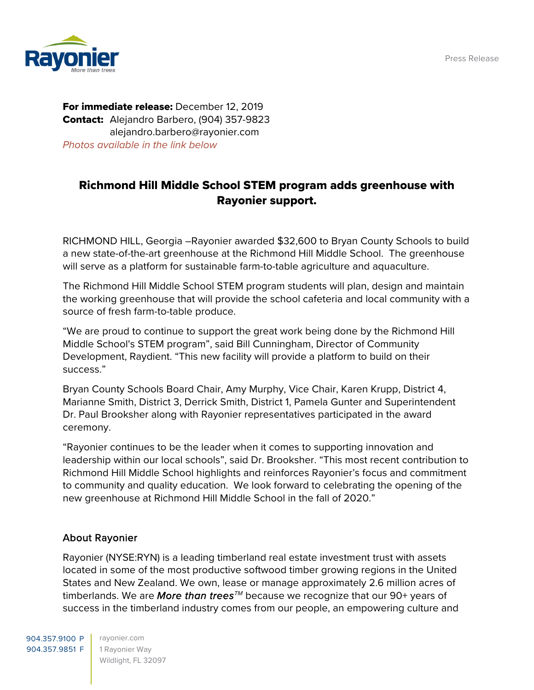Press Release



For immediate release: December 12, 2019 Contact: Alejandro Barbero, (904) 357-9823 alejandro.barbero@rayonier.com Photos available in the link below

## Richmond Hill Middle School STEM program adds greenhouse with Rayonier support.

RICHMOND HILL, Georgia –Rayonier awarded \$32,600 to Bryan County Schools to build a new state-of-the-art greenhouse at the Richmond Hill Middle School. The greenhouse will serve as a platform for sustainable farm-to-table agriculture and aquaculture.

The Richmond Hill Middle School STEM program students will plan, design and maintain the working greenhouse that will provide the school cafeteria and local community with a source of fresh farm-to-table produce.

"We are proud to continue to support the great work being done by the Richmond Hill Middle School's STEM program", said Bill Cunningham, Director of Community Development, Raydient. "This new facility will provide a platform to build on their success."

Bryan County Schools Board Chair, Amy Murphy, Vice Chair, Karen Krupp, District 4, Marianne Smith, District 3, Derrick Smith, District 1, Pamela Gunter and Superintendent Dr. Paul Brooksher along with Rayonier representatives participated in the award ceremony.

"Rayonier continues to be the leader when it comes to supporting innovation and leadership within our local schools", said Dr. Brooksher. "This most recent contribution to Richmond Hill Middle School highlights and reinforces Rayonier's focus and commitment to community and quality education. We look forward to celebrating the opening of the new greenhouse at Richmond Hill Middle School in the fall of 2020."

## About Rayonier

Rayonier (NYSE:RYN) is a leading timberland real estate investment trust with assets located in some of the most productive softwood timber growing regions in the United States and New Zealand. We own, lease or manage approximately 2.6 million acres of timberlands. We are More than trees<sup>TM</sup> because we recognize that our 90+ years of success in the timberland industry comes from our people, an empowering culture and